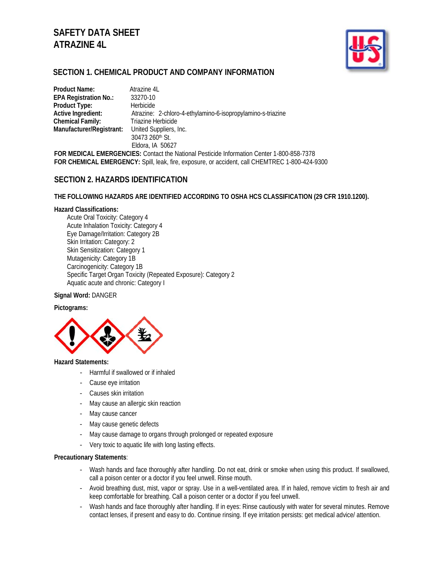# **SAFETY DATA SHEET ATRAZINE 4L**



# **SECTION 1. CHEMICAL PRODUCT AND COMPANY INFORMATION**

| <b>Product Name:</b>         | Atrazine 4L                                                 |
|------------------------------|-------------------------------------------------------------|
| <b>EPA Registration No.:</b> | 33270-10                                                    |
| Product Type:                | Herbicide                                                   |
| Active Ingredient:           | Atrazine: 2-chloro-4-ethylamino-6-isopropylamino-s-triazine |
| <b>Chemical Family:</b>      | Triazine Herbicide                                          |
| Manufacturer/Registrant:     | United Suppliers, Inc.                                      |
|                              | 30473 260th St.                                             |
|                              | Eldora, IA 50627                                            |

**FOR MEDICAL EMERGENCIES:** Contact the National Pesticide Information Center 1-800-858-7378 **FOR CHEMICAL EMERGENCY:** Spill, leak, fire, exposure, or accident, call CHEMTREC 1-800-424-9300

# **SECTION 2. HAZARDS IDENTIFICATION**

#### **THE FOLLOWING HAZARDS ARE IDENTIFIED ACCORDING TO OSHA HCS CLASSIFICATION (29 CFR 1910.1200).**

#### **Hazard Classifications:**

Acute Oral Toxicity: Category 4 Acute Inhalation Toxicity: Category 4 Eye Damage/Irritation: Category 2B Skin Irritation: Category: 2 Skin Sensitization: Category 1 Mutagenicity: Category 1B Carcinogenicity: Category 1B Specific Target Organ Toxicity (Repeated Exposure): Category 2 Aquatic acute and chronic: Category I

#### **Signal Word:** DANGER

#### **Pictograms:**



#### **Hazard Statements:**

- Harmful if swallowed or if inhaled
- Cause eye irritation
- Causes skin irritation
- May cause an allergic skin reaction
- May cause cancer
- May cause genetic defects
- May cause damage to organs through prolonged or repeated exposure
- Very toxic to aquatic life with long lasting effects.

#### **Precautionary Statements**:

- Wash hands and face thoroughly after handling. Do not eat, drink or smoke when using this product. If swallowed, call a poison center or a doctor if you feel unwell. Rinse mouth.
- Avoid breathing dust, mist, vapor or spray. Use in a well-ventilated area. If in haled, remove victim to fresh air and keep comfortable for breathing. Call a poison center or a doctor if you feel unwell.
- Wash hands and face thoroughly after handling. If in eyes: Rinse cautiously with water for several minutes. Remove contact lenses, if present and easy to do. Continue rinsing. If eye irritation persists: get medical advice/ attention.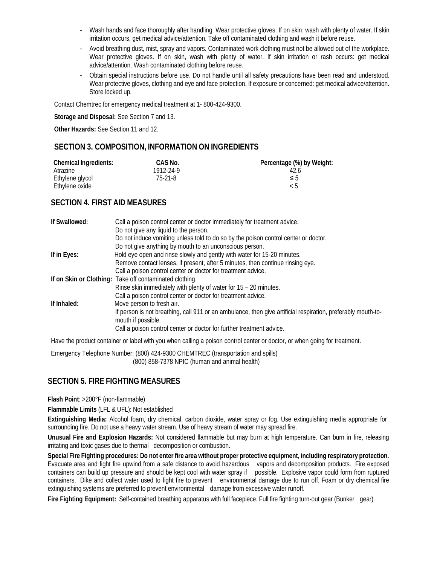- Wash hands and face thoroughly after handling. Wear protective gloves. If on skin: wash with plenty of water. If skin irritation occurs, get medical advice/attention. Take off contaminated clothing and wash it before reuse.
- Avoid breathing dust, mist, spray and vapors. Contaminated work clothing must not be allowed out of the workplace. Wear protective gloves. If on skin, wash with plenty of water. If skin irritation or rash occurs: get medical advice/attention. Wash contaminated clothing before reuse.
- Obtain special instructions before use. Do not handle until all safety precautions have been read and understood. Wear protective gloves, clothing and eye and face protection. If exposure or concerned: get medical advice/attention. Store locked up.

Contact Chemtrec for emergency medical treatment at 1- 800-424-9300.

**Storage and Disposal:** See Section 7 and 13.

**Other Hazards:** See Section 11 and 12.

# **SECTION 3. COMPOSITION, INFORMATION ON INGREDIENTS**

| <b>Chemical Ingredients:</b> | CAS No.   | Percentage (%) by Weight: |
|------------------------------|-----------|---------------------------|
| Atrazine                     | 1912-24-9 | 42.6                      |
| Ethylene glycol              | 75-21-8   | $\leq 5$                  |
| Ethylene oxide               |           | ィト                        |

# **SECTION 4. FIRST AID MEASURES**

| If Swallowed: | Call a poison control center or doctor immediately for treatment advice.                                     |
|---------------|--------------------------------------------------------------------------------------------------------------|
|               | Do not give any liquid to the person.                                                                        |
|               | Do not induce vomiting unless told to do so by the poison control center or doctor.                          |
|               | Do not give anything by mouth to an unconscious person.                                                      |
| If in Eyes:   | Hold eye open and rinse slowly and gently with water for 15-20 minutes.                                      |
|               | Remove contact lenses, if present, after 5 minutes, then continue rinsing eye.                               |
|               | Call a poison control center or doctor for treatment advice.                                                 |
|               | If on Skin or Clothing: Take off contaminated clothing.                                                      |
|               | Rinse skin immediately with plenty of water for $15 - 20$ minutes.                                           |
|               | Call a poison control center or doctor for treatment advice.                                                 |
| If Inhaled:   | Move person to fresh air.                                                                                    |
|               | If person is not breathing, call 911 or an ambulance, then give artificial respiration, preferably mouth-to- |
|               | mouth if possible.                                                                                           |
|               | Call a poison control center or doctor for further treatment advice.                                         |
|               |                                                                                                              |

Have the product container or label with you when calling a poison control center or doctor, or when going for treatment.

Emergency Telephone Number: (800) 424-9300 CHEMTREC (transportation and spills) (800) 858-7378 NPIC (human and animal health)

# **SECTION 5. FIRE FIGHTING MEASURES**

**Flash Point**: >200°F (non-flammable)

**Flammable Limits** (LFL & UFL): Not established

**Extinguishing Media:** Alcohol foam, dry chemical, carbon dioxide, water spray or fog. Use extinguishing media appropriate for surrounding fire. Do not use a heavy water stream. Use of heavy stream of water may spread fire.

**Unusual Fire and Explosion Hazards:** Not considered flammable but may burn at high temperature. Can burn in fire, releasing irritating and toxic gases due to thermal decomposition or combustion.

**Special Fire Fighting procedures: Do not enter fire area without proper protective equipment, including respiratory protection.**  Evacuate area and fight fire upwind from a safe distance to avoid hazardous vapors and decomposition products. Fire exposed containers can build up pressure and should be kept cool with water spray if possible. Explosive vapor could form from ruptured containers. Dike and collect water used to fight fire to prevent environmental damage due to run off. Foam or dry chemical fire extinguishing systems are preferred to prevent environmental damage from excessive water runoff.

**Fire Fighting Equipment:** Self-contained breathing apparatus with full facepiece. Full fire fighting turn-out gear (Bunker gear).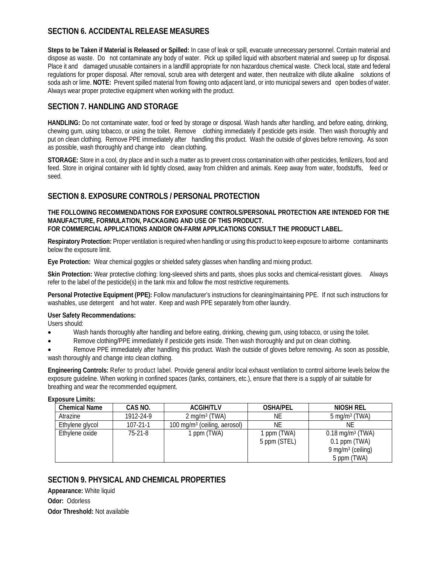# **SECTION 6. ACCIDENTAL RELEASE MEASURES**

**Steps to be Taken if Material is Released or Spilled:** In case of leak or spill, evacuate unnecessary personnel. Contain material and dispose as waste. Do not contaminate any body of water. Pick up spilled liquid with absorbent material and sweep up for disposal. Place it and damaged unusable containers in a landfill appropriate for non hazardous chemical waste. Check local, state and federal regulations for proper disposal. After removal, scrub area with detergent and water, then neutralize with dilute alkaline solutions of soda ash or lime. **NOTE:** Prevent spilled material from flowing onto adjacent land, or into municipal sewers and open bodies of water. Always wear proper protective equipment when working with the product.

# **SECTION 7. HANDLING AND STORAGE**

**HANDLING:** Do not contaminate water, food or feed by storage or disposal. Wash hands after handling, and before eating, drinking, chewing gum, using tobacco, or using the toilet. Remove clothing immediately if pesticide gets inside. Then wash thoroughly and put on clean clothing. Remove PPE immediately after handling this product. Wash the outside of gloves before removing. As soon as possible, wash thoroughly and change into clean clothing.

**STORAGE:** Store in a cool, dry place and in such a matter as to prevent cross contamination with other pesticides, fertilizers, food and feed. Store in original container with lid tightly closed, away from children and animals. Keep away from water, foodstuffs, feed or seed.

# **SECTION 8. EXPOSURE CONTROLS / PERSONAL PROTECTION**

**THE FOLLOWING RECOMMENDATIONS FOR EXPOSURE CONTROLS/PERSONAL PROTECTION ARE INTENDED FOR THE MANUFACTURE, FORMULATION, PACKAGING AND USE OF THIS PRODUCT. FOR COMMERCIAL APPLICATIONS AND/OR ON-FARM APPLICATIONS CONSULT THE PRODUCT LABEL.**

**Respiratory Protection:** Proper ventilation is required when handling or using this product to keep exposure to airborne contaminants below the exposure limit.

**Eye Protection:** Wear chemical goggles or shielded safety glasses when handling and mixing product.

**Skin Protection:** Wear protective clothing: long-sleeved shirts and pants, shoes plus socks and chemical-resistant gloves. Always refer to the label of the pesticide(s) in the tank mix and follow the most restrictive requirements.

**Personal Protective Equipment (PPE):** Follow manufacturer's instructions for cleaning/maintaining PPE. If not such instructions for washables, use detergent and hot water. Keep and wash PPE separately from other laundry.

#### **User Safety Recommendations:**

Users should:

- Wash hands thoroughly after handling and before eating, drinking, chewing gum, using tobacco, or using the toilet.
- Remove clothing/PPE immediately if pesticide gets inside. Then wash thoroughly and put on clean clothing.

• Remove PPE immediately after handling this product. Wash the outside of gloves before removing. As soon as possible, wash thoroughly and change into clean clothing.

**Engineering Controls:** Refer to product label. Provide general and/or local exhaust ventilation to control airborne levels below the exposure guideline. When working in confined spaces (tanks, containers, etc.), ensure that there is a supply of air suitable for breathing and wear the recommended equipment.

**Exposure Limits:** 

| <b>Chemical Name</b> | CAS NO.        | <b>ACGIH/TLV</b>                | <b>OSHA/PEL</b>           | NIOSH REL                                                                             |
|----------------------|----------------|---------------------------------|---------------------------|---------------------------------------------------------------------------------------|
| Atrazine             | 1912-24-9      | $2 \text{ mg/m}^3$ (TWA)        | ΝE                        | $5 \text{ mg/m}^3$ (TWA)                                                              |
| Ethylene glycol      | $107 - 21 - 1$ | 100 mg/m $3$ (ceiling, aerosol) | ΝE                        | ΝE                                                                                    |
| Ethylene oxide       | $75-21-8$      | ppm (TWA)                       | ppm (TWA)<br>5 ppm (STEL) | $0.18 \text{ mg/m}^3$ (TWA)<br>$0.1$ ppm (TWA)<br>9 mg/m $3$ (ceiling)<br>5 ppm (TWA) |

# **SECTION 9. PHYSICAL AND CHEMICAL PROPERTIES**

**Appearance:** White liquid **Odor:** Odorless **Odor Threshold:** Not available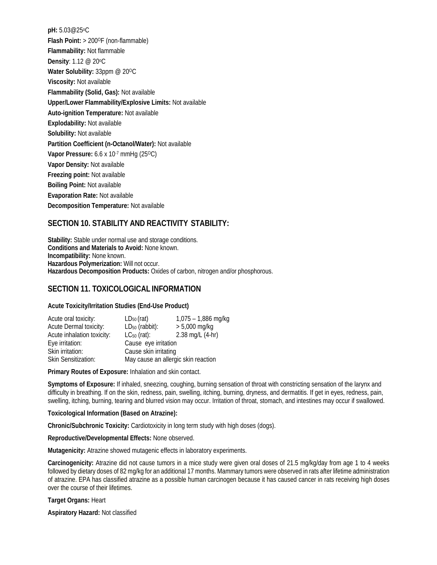**pH:** 5.03@25oC **Flash Point:** > 200°F (non-flammable) **Flammability:** Not flammable **Density**: 1.12 @ 20 °C **Water Solubility: 33ppm @ 200C Viscosity:** Not available **Flammability (Solid, Gas):** Not available **Upper/Lower Flammability/Explosive Limits:** Not available **Auto-ignition Temperature:** Not available **Explodability:** Not available **Solubility:** Not available **Partition Coefficient (n-Octanol/Water):** Not available **Vapor Pressure:** 6.6 x 10<sup>-7</sup> mmHg (25<sup>o</sup>C) **Vapor Density:** Not available **Freezing point:** Not available **Boiling Point:** Not available **Evaporation Rate:** Not available **Decomposition Temperature:** Not available

# **SECTION 10. STABILITY AND REACTIVITY STABILITY:**

**Stability:** Stable under normal use and storage conditions. **Conditions and Materials to Avoid:** None known. **Incompatibility:** None known. **Hazardous Polymerization:** Will not occur. **Hazardous Decomposition Products:** Oxides of carbon, nitrogen and/or phosphorous.

# **SECTION 11. TOXICOLOGICAL INFORMATION**

#### **Acute Toxicity/Irritation Studies (End-Use Product)**

| Acute oral toxicity:       | $LD_{50}$ (rat)                     | $1,075 - 1,886$ mg/kg |  |
|----------------------------|-------------------------------------|-----------------------|--|
| Acute Dermal toxicity:     | $LD_{50}$ (rabbit):                 | $> 5,000$ mg/kg       |  |
| Acute inhalation toxicity: | $LC_{50}$ (rat):                    | 2.38 mg/L (4-hr)      |  |
| Eye irritation:            | Cause eye irritation                |                       |  |
| Skin irritation:           | Cause skin irritating               |                       |  |
| Skin Sensitization:        | May cause an allergic skin reaction |                       |  |

**Primary Routes of Exposure:** Inhalation and skin contact.

**Symptoms of Exposure:** If inhaled, sneezing, coughing, burning sensation of throat with constricting sensation of the larynx and difficulty in breathing. If on the skin, redness, pain, swelling, itching, burning, dryness, and dermatitis. If get in eyes, redness, pain, swelling, itching, burning, tearing and blurred vision may occur. Irritation of throat, stomach, and intestines may occur if swallowed.

#### **Toxicological Information (Based on Atrazine):**

**Chronic/Subchronic Toxicity:** Cardiotoxicity in long term study with high doses (dogs).

**Reproductive/Developmental Effects:** None observed.

**Mutagenicity:** Atrazine showed mutagenic effects in laboratory experiments.

**Carcinogenicity:** Atrazine did not cause tumors in a mice study were given oral doses of 21.5 mg/kg/day from age 1 to 4 weeks followed by dietary doses of 82 mg/kg for an additional 17 months. Mammary tumors were observed in rats after lifetime administration of atrazine. EPA has classified atrazine as a possible human carcinogen because it has caused cancer in rats receiving high doses over the course of their lifetimes.

**Target Organs:** Heart

**Aspiratory Hazard:** Not classified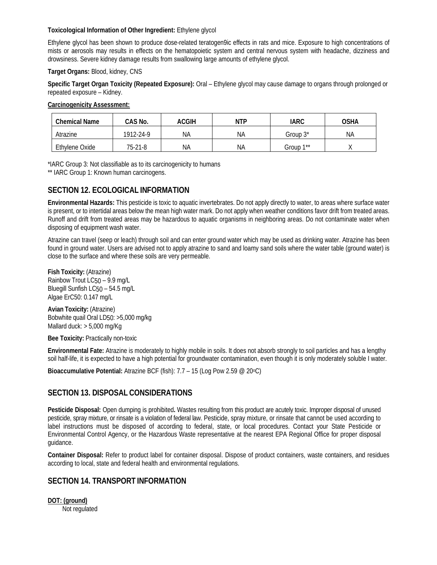#### **Toxicological Information of Other Ingredient:** Ethylene glycol

Ethylene glycol has been shown to produce dose-related teratogen9ic effects in rats and mice. Exposure to high concentrations of mists or aerosols may results in effects on the hematopoietic system and central nervous system with headache, dizziness and drowsiness. Severe kidney damage results from swallowing large amounts of ethylene glycol.

#### **Target Organs:** Blood, kidney, CNS

**Specific Target Organ Toxicity (Repeated Exposure):** Oral – Ethylene glycol may cause damage to organs through prolonged or repeated exposure – Kidney.

**Carcinogenicity Assessment:**

| <b>Chemical Name</b> | CAS No.   | ACGIH | <b>NTP</b> | <b>IARC</b>           | OSHA |
|----------------------|-----------|-------|------------|-----------------------|------|
| Atrazine             | 1912-24-9 | ΝA    | ΝA         | Group $3^*$           | ΝA   |
| Ethylene Oxide       | 75-21-8   | ΝA    | NA         | Group 1 <sup>**</sup> |      |

\*IARC Group 3: Not classifiable as to its carcinogenicity to humans

\*\* IARC Group 1: Known human carcinogens.

# **SECTION 12. ECOLOGICAL INFORMATION**

**Environmental Hazards:** This pesticide is toxic to aquatic invertebrates. Do not apply directly to water, to areas where surface water is present, or to intertidal areas below the mean high water mark. Do not apply when weather conditions favor drift from treated areas. Runoff and drift from treated areas may be hazardous to aquatic organisms in neighboring areas. Do not contaminate water when disposing of equipment wash water.

Atrazine can travel (seep or leach) through soil and can enter ground water which may be used as drinking water. Atrazine has been found in ground water. Users are advised not to apply atrazine to sand and loamy sand soils where the water table (ground water) is close to the surface and where these soils are very permeable.

**Fish Toxicity:** (Atrazine) Rainbow Trout LC50 – 9.9 mg/L Bluegill Sunfish LC50 – 54.5 mg/L Algae ErC50: 0.147 mg/L

**Avian Toxicity:** (Atrazine) Bobwhite quail Oral LD50: >5,000 mg/kg Mallard duck: > 5,000 mg/Kg

**Bee Toxicity:** Practically non-toxic

**Environmental Fate:** Atrazine is moderately to highly mobile in soils. It does not absorb strongly to soil particles and has a lengthy soil half-life, it is expected to have a high potential for groundwater contamination, even though it is only moderately soluble I water.

**Bioaccumulative Potential:** Atrazine BCF (fish): 7.7 – 15 (Log Pow 2.59 @ 20°C)

# **SECTION 13. DISPOSAL CONSIDERATIONS**

**Pesticide Disposal:** Open dumping is prohibited**.** Wastes resulting from this product are acutely toxic. Improper disposal of unused pesticide, spray mixture, or rinsate is a violation of federal law. Pesticide, spray mixture, or rinsate that cannot be used according to label instructions must be disposed of according to federal, state, or local procedures. Contact your State Pesticide or Environmental Control Agency, or the Hazardous Waste representative at the nearest EPA Regional Office for proper disposal guidance.

**Container Disposal:** Refer to product label for container disposal. Dispose of product containers, waste containers, and residues according to local, state and federal health and environmental regulations.

# **SECTION 14. TRANSPORT INFORMATION**

**DOT: (ground)** Not regulated